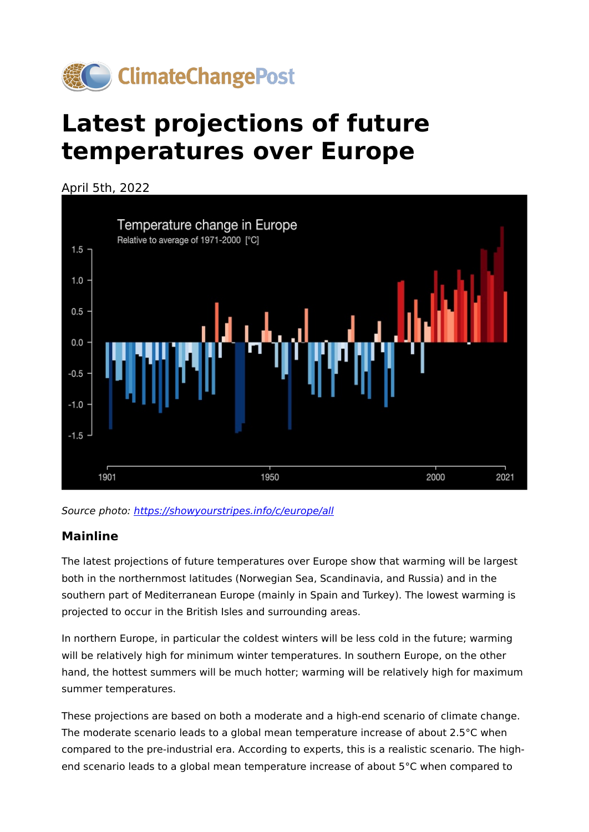

# **Latest projections of future temperatures over Europe**

April 5th, 2022





#### **Mainline**

The latest projections of future temperatures over Europe show that warming will be largest both in the northernmost latitudes (Norwegian Sea, Scandinavia, and Russia) and in the southern part of Mediterranean Europe (mainly in Spain and Turkey). The lowest warming is projected to occur in the British Isles and surrounding areas.

In northern Europe, in particular the coldest winters will be less cold in the future; warming will be relatively high for minimum winter temperatures. In southern Europe, on the other hand, the hottest summers will be much hotter; warming will be relatively high for maximum summer temperatures.

These projections are based on both a moderate and a high-end scenario of climate change. The moderate scenario leads to a global mean temperature increase of about 2.5°C when compared to the pre-industrial era. According to experts, this is a realistic scenario. The highend scenario leads to a global mean temperature increase of about 5°C when compared to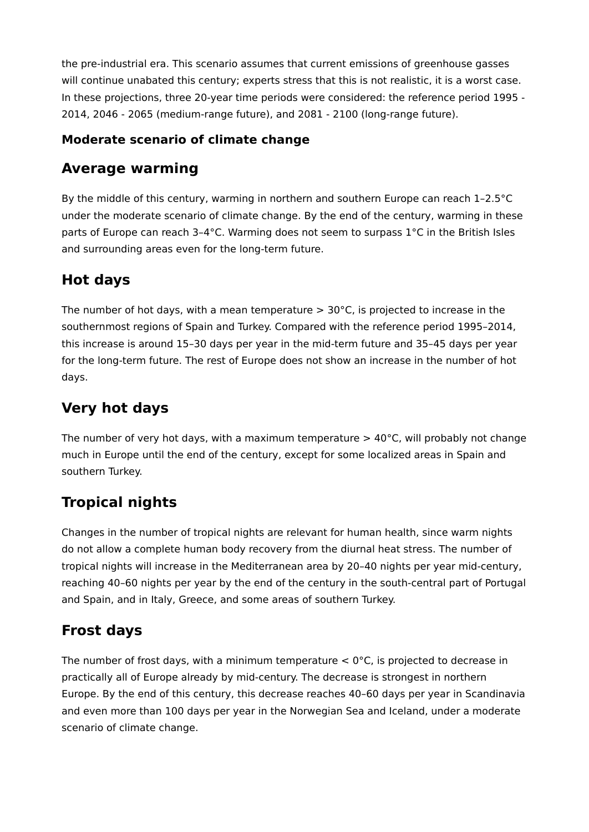the pre-industrial era. This scenario assumes that current emissions of greenhouse gasses will continue unabated this century; experts stress that this is not realistic, it is a worst case. In these projections, three 20-year time periods were considered: the reference period 1995 - 2014, 2046 - 2065 (medium-range future), and 2081 - 2100 (long-range future).

#### **Moderate scenario of climate change**

#### **Average warming**

By the middle of this century, warming in northern and southern Europe can reach 1–2.5°C under the moderate scenario of climate change. By the end of the century, warming in these parts of Europe can reach 3–4°C. Warming does not seem to surpass 1°C in the British Isles and surrounding areas even for the long-term future.

# **Hot days**

The number of hot days, with a mean temperature  $> 30^{\circ}$ C, is projected to increase in the southernmost regions of Spain and Turkey. Compared with the reference period 1995–2014, this increase is around 15–30 days per year in the mid-term future and 35–45 days per year for the long-term future. The rest of Europe does not show an increase in the number of hot days.

#### **Very hot days**

The number of very hot days, with a maximum temperature  $> 40^{\circ}$ C, will probably not change much in Europe until the end of the century, except for some localized areas in Spain and southern Turkey.

## **Tropical nights**

Changes in the number of tropical nights are relevant for human health, since warm nights do not allow a complete human body recovery from the diurnal heat stress. The number of tropical nights will increase in the Mediterranean area by 20–40 nights per year mid-century, reaching 40–60 nights per year by the end of the century in the south-central part of Portugal and Spain, and in Italy, Greece, and some areas of southern Turkey.

## **Frost days**

The number of frost days, with a minimum temperature  $< 0$ °C, is projected to decrease in practically all of Europe already by mid-century. The decrease is strongest in northern Europe. By the end of this century, this decrease reaches 40–60 days per year in Scandinavia and even more than 100 days per year in the Norwegian Sea and Iceland, under a moderate scenario of climate change.